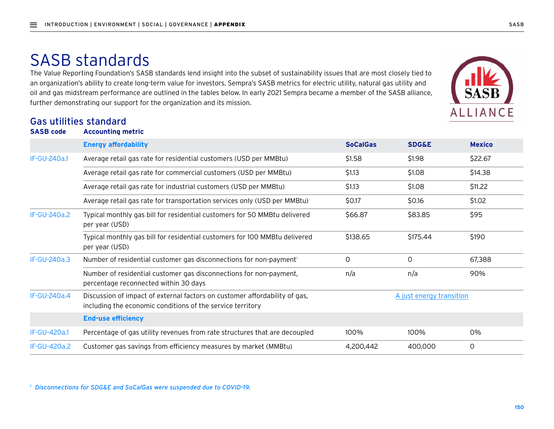# SASB standards

The Value Reporting Foundation's SASB standards lend insight into the subset of sustainability issues that are most closely tied to an organization's ability to create long-term value for investors. Sempra's SASB metrics for electric utility, natural gas utility and oil and gas midstream performance are outlined in the tables below. In early 2021 Sempra became a member of the SASB alliance, further demonstrating our support for the organization and its mission.

#### Gas utilities standard



*<sup>1</sup> Disconnections for SDG&E and SoCalGas were suspended due to COVID-19.*

**ALLIANCE**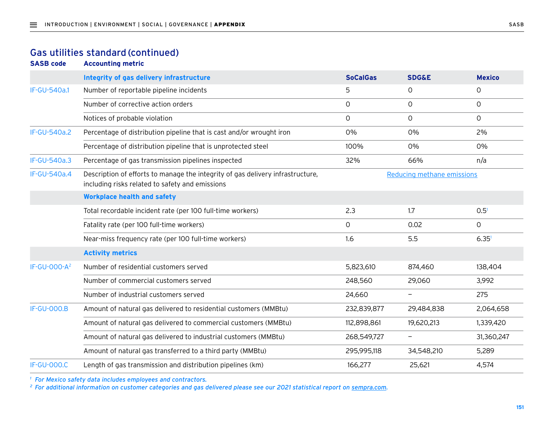#### Gas utilities standard (continued)

**SASB code Accounting metric**

|                          | Integrity of gas delivery infrastructure                                                                                          | <b>SoCalGas</b> | <b>SDG&amp;E</b>           | <b>Mexico</b>     |
|--------------------------|-----------------------------------------------------------------------------------------------------------------------------------|-----------------|----------------------------|-------------------|
| IF-GU-540a.1             | Number of reportable pipeline incidents                                                                                           | 5               | 0                          | 0                 |
|                          | Number of corrective action orders                                                                                                | $\mathsf{O}$    | $\circ$                    | $\circ$           |
|                          | Notices of probable violation                                                                                                     | 0               | 0                          | 0                 |
| IF-GU-540a.2             | Percentage of distribution pipeline that is cast and/or wrought iron                                                              | 0%              | 0%                         | 2%                |
|                          | Percentage of distribution pipeline that is unprotected steel                                                                     | 100%            | 0%                         | 0%                |
| <b>IF-GU-540a.3</b>      | Percentage of gas transmission pipelines inspected                                                                                | 32%             | 66%                        | n/a               |
| IF-GU-540a.4             | Description of efforts to manage the integrity of gas delivery infrastructure,<br>including risks related to safety and emissions |                 | Reducing methane emissions |                   |
|                          | <b>Workplace health and safety</b>                                                                                                |                 |                            |                   |
|                          | Total recordable incident rate (per 100 full-time workers)                                                                        | 2.3             | 1.7                        | 0.5 <sup>1</sup>  |
|                          | Fatality rate (per 100 full-time workers)                                                                                         | $\mathsf O$     | 0.02                       | $\circ$           |
|                          | Near-miss frequency rate (per 100 full-time workers)                                                                              | 1.6             | 5.5                        | 6.35 <sup>1</sup> |
|                          | <b>Activity metrics</b>                                                                                                           |                 |                            |                   |
| IF-GU-000-A <sup>2</sup> | Number of residential customers served                                                                                            | 5,823,610       | 874,460                    | 138,404           |
|                          | Number of commercial customers served                                                                                             | 248,560         | 29,060                     | 3,992             |
|                          | Number of industrial customers served                                                                                             | 24,660          | $\overline{\phantom{m}}$   | 275               |
| <b>IF-GU-000.B</b>       | Amount of natural gas delivered to residential customers (MMBtu)                                                                  | 232,839,877     | 29,484,838                 | 2,064,658         |
|                          | Amount of natural gas delivered to commercial customers (MMBtu)                                                                   | 112,898,861     | 19,620,213                 | 1,339,420         |
|                          | Amount of natural gas delivered to industrial customers (MMBtu)                                                                   | 268,549,727     |                            | 31,360,247        |
|                          | Amount of natural gas transferred to a third party (MMBtu)                                                                        | 295,995,118     | 34,548,210                 | 5,289             |
| <b>IF-GU-000.C</b>       | Length of gas transmission and distribution pipelines (km)                                                                        | 166,277         | 25,621                     | 4,574             |

*<sup>1</sup> For Mexico safety data includes employees and contractors.*

*<sup>2</sup> For additional information on customer categories and gas delivered please see our 2021 statistical report on [sempra.com](mailto:https://www.sempra.com?subject=).*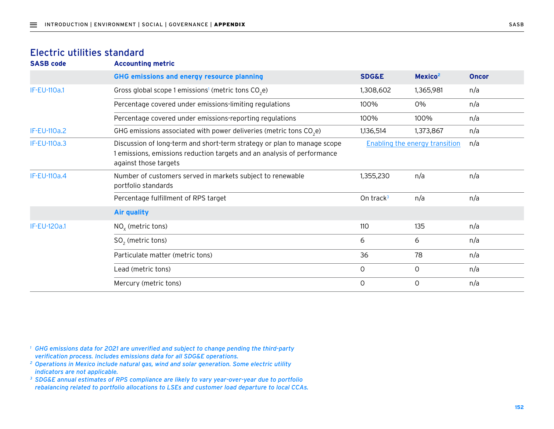#### Electric utilities standard

| <b>Accounting metric</b>                                                                                                                                                    |                       |                     |                                       |
|-----------------------------------------------------------------------------------------------------------------------------------------------------------------------------|-----------------------|---------------------|---------------------------------------|
| GHG emissions and energy resource planning                                                                                                                                  | <b>SDG&amp;E</b>      | Mexico <sup>2</sup> | <b>Oncor</b>                          |
| Gross global scope 1 emissions <sup>1</sup> (metric tons $CO2e$ )                                                                                                           | 1,308,602             | 1,365,981           | n/a                                   |
| Percentage covered under emissions-limiting regulations                                                                                                                     | 100%                  | 0%                  | n/a                                   |
| Percentage covered under emissions-reporting regulations                                                                                                                    | 100%                  | 100%                | n/a                                   |
| GHG emissions associated with power deliveries (metric tons CO <sub>2</sub> e)                                                                                              | 1,136,514             | 1,373,867           | n/a                                   |
| Discussion of long-term and short-term strategy or plan to manage scope<br>1 emissions, emissions reduction targets and an analysis of performance<br>against those targets |                       |                     | n/a                                   |
| Number of customers served in markets subject to renewable<br>portfolio standards                                                                                           | 1,355,230             | n/a                 | n/a                                   |
| Percentage fulfillment of RPS target                                                                                                                                        | On track <sup>3</sup> | n/a                 | n/a                                   |
| <b>Air quality</b>                                                                                                                                                          |                       |                     |                                       |
| $NOx$ (metric tons)                                                                                                                                                         | 110                   | 135                 | n/a                                   |
| $SO2$ (metric tons)                                                                                                                                                         | 6                     | 6                   | n/a                                   |
| Particulate matter (metric tons)                                                                                                                                            | 36                    | 78                  | n/a                                   |
| Lead (metric tons)                                                                                                                                                          | 0                     | 0                   | n/a                                   |
| Mercury (metric tons)                                                                                                                                                       | 0                     | 0                   | n/a                                   |
|                                                                                                                                                                             |                       |                     | <b>Enabling the energy transition</b> |

*<sup>1</sup> GHG emissions data for 2021 are unverified and subject to change pending the third-party verification process. Includes emissions data for all SDG&E operations.*

- *<sup>2</sup> Operations in Mexico include natural gas, wind and solar generation. Some electric utility indicators are not applicable.*
- *<sup>3</sup> SDG&E annual estimates of RPS compliance are likely to vary year-over-year due to portfolio rebalancing related to portfolio allocations to LSEs and customer load departure to local CCAs.*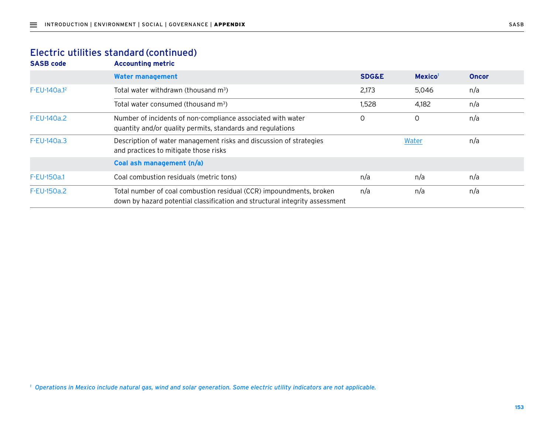#### Electric utilities standard (continued)

**SASB code Accounting metric**

|              | <b>Water management</b>                                                                                                                            | <b>SDG&amp;E</b> | Mexico <sup>1</sup> | <b>Oncor</b> |
|--------------|----------------------------------------------------------------------------------------------------------------------------------------------------|------------------|---------------------|--------------|
| F-EU-140a.12 | Total water withdrawn (thousand m <sup>3</sup> )                                                                                                   | 2,173            | 5.046               | n/a          |
|              | Total water consumed (thousand m <sup>3</sup> )                                                                                                    | 1,528            | 4,182               | n/a          |
| F-EU-140a.2  | Number of incidents of non-compliance associated with water<br>quantity and/or quality permits, standards and regulations                          | 0                | 0                   | n/a          |
| F-EU-140a.3  | Description of water management risks and discussion of strategies<br>and practices to mitigate those risks                                        |                  | Water               | n/a          |
|              | Coal ash management (n/a)                                                                                                                          |                  |                     |              |
| F-EU-150a.1  | Coal combustion residuals (metric tons)                                                                                                            | n/a              | n/a                 | n/a          |
| F-EU-150a.2  | Total number of coal combustion residual (CCR) impoundments, broken<br>down by hazard potential classification and structural integrity assessment | n/a              | n/a                 | n/a          |

*<sup>1</sup> Operations in Mexico include natural gas, wind and solar generation. Some electric utility indicators are not applicable.*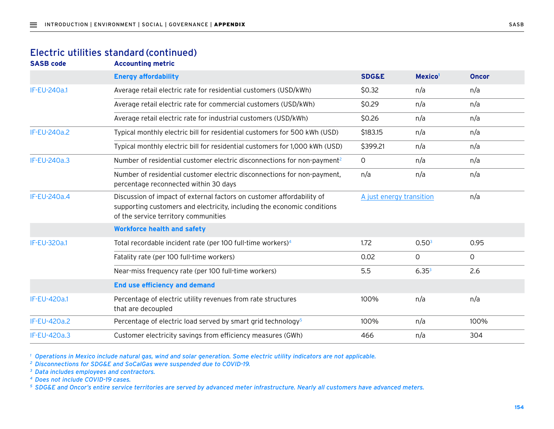#### Electric utilities standard (continued)

**SASB code Accounting metric**

|                     | <b>Energy affordability</b>                                                                                                                                                              | <b>SDG&amp;E</b>         | Mexico <sup>1</sup> | <b>Oncor</b> |
|---------------------|------------------------------------------------------------------------------------------------------------------------------------------------------------------------------------------|--------------------------|---------------------|--------------|
| <b>IF-EU-240a.1</b> | Average retail electric rate for residential customers (USD/kWh)                                                                                                                         | \$0.32                   | n/a                 | n/a          |
|                     | Average retail electric rate for commercial customers (USD/kWh)                                                                                                                          | \$0.29                   | n/a                 | n/a          |
|                     | Average retail electric rate for industrial customers (USD/kWh)                                                                                                                          | \$0.26                   | n/a                 | n/a          |
| <b>IF-EU-240a.2</b> | Typical monthly electric bill for residential customers for 500 kWh (USD)                                                                                                                | \$183.15                 | n/a                 | n/a          |
|                     | Typical monthly electric bill for residential customers for 1,000 kWh (USD)                                                                                                              | \$399.21                 | n/a                 | n/a          |
| IF-EU-240a.3        | Number of residential customer electric disconnections for non-payment <sup>2</sup>                                                                                                      | 0                        | n/a                 | n/a          |
|                     | Number of residential customer electric disconnections for non-payment,<br>percentage reconnected within 30 days                                                                         | n/a                      | n/a                 | n/a          |
| IF-EU-240a.4        | Discussion of impact of external factors on customer affordability of<br>supporting customers and electricity, including the economic conditions<br>of the service territory communities | A just energy transition |                     | n/a          |
|                     | <b>Workforce health and safety</b>                                                                                                                                                       |                          |                     |              |
| <b>IF-EU-320a.1</b> | Total recordable incident rate (per 100 full-time workers) <sup>4</sup>                                                                                                                  | 1.72                     | 0.50 <sup>3</sup>   | 0.95         |
|                     | Fatality rate (per 100 full-time workers)                                                                                                                                                | 0.02                     | 0                   | 0            |
|                     | Near-miss frequency rate (per 100 full-time workers)                                                                                                                                     | 5.5                      | $6.35^{3}$          | 2.6          |
|                     | <b>End use efficiency and demand</b>                                                                                                                                                     |                          |                     |              |
| IF-EU-420a.1        | Percentage of electric utility revenues from rate structures<br>that are decoupled                                                                                                       | 100%                     | n/a                 | n/a          |
| IF-EU-420a.2        | Percentage of electric load served by smart grid technology <sup>5</sup>                                                                                                                 | 100%                     | n/a                 | 100%         |
| IF-EU-420a.3        | Customer electricity savings from efficiency measures (GWh)                                                                                                                              | 466                      | n/a                 | 304          |

*<sup>1</sup> Operations in Mexico include natural gas, wind and solar generation. Some electric utility indicators are not applicable.*

*<sup>2</sup> Disconnections for SDG&E and SoCalGas were suspended due to COVID-19.*

*<sup>3</sup> Data includes employees and contractors.*

*<sup>4</sup> Does not include COVID-19 cases.*

*<sup>5</sup> SDG&E and Oncor's entire service territories are served by advanced meter infrastructure. Nearly all customers have advanced meters.*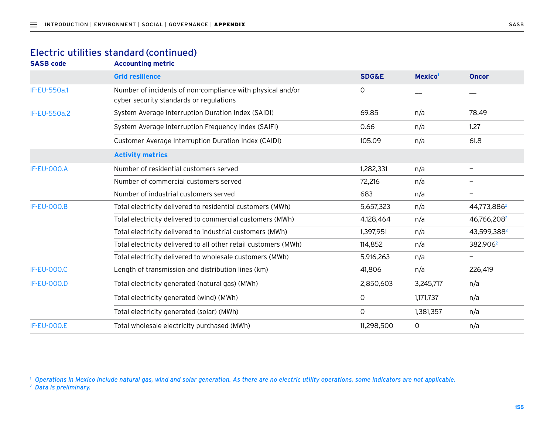#### Electric utilities standard (continued)

**SASB code Accounting metric**

|                     | <b>Grid resilience</b>                                                                                | <b>SDG&amp;E</b> | Mexico <sup>1</sup> | <b>Oncor</b>            |
|---------------------|-------------------------------------------------------------------------------------------------------|------------------|---------------------|-------------------------|
| <b>IF-EU-550a.1</b> | Number of incidents of non-compliance with physical and/or<br>cyber security standards or regulations | $\circ$          |                     |                         |
| <b>IF-EU-550a.2</b> | System Average Interruption Duration Index (SAIDI)                                                    | 69.85            | n/a                 | 78.49                   |
|                     | System Average Interruption Frequency Index (SAIFI)                                                   | 0.66             | n/a                 | 1.27                    |
|                     | Customer Average Interruption Duration Index (CAIDI)                                                  | 105.09           | n/a                 | 61.8                    |
|                     | <b>Activity metrics</b>                                                                               |                  |                     |                         |
| <b>IF-EU-000.A</b>  | Number of residential customers served                                                                | 1,282,331        | n/a                 | $\qquad \qquad -$       |
|                     | Number of commercial customers served                                                                 | 72,216           | n/a                 |                         |
|                     | Number of industrial customers served                                                                 | 683              | n/a                 |                         |
| <b>IF-EU-000.B</b>  | Total electricity delivered to residential customers (MWh)                                            | 5,657,323        | n/a                 | 44,773,886 <sup>2</sup> |
|                     | Total electricity delivered to commercial customers (MWh)                                             | 4,128,464        | n/a                 | 46,766,208 <sup>2</sup> |
|                     | Total electricity delivered to industrial customers (MWh)                                             | 1,397,951        | n/a                 | 43,599,3882             |
|                     | Total electricity delivered to all other retail customers (MWh)                                       | 114,852          | n/a                 | 382,906 <sup>2</sup>    |
|                     | Total electricity delivered to wholesale customers (MWh)                                              | 5,916,263        | n/a                 |                         |
| <b>IF-EU-000.C</b>  | Length of transmission and distribution lines (km)                                                    | 41,806           | n/a                 | 226,419                 |
| <b>IF-EU-000.D</b>  | Total electricity generated (natural gas) (MWh)                                                       | 2,850,603        | 3,245,717           | n/a                     |
|                     | Total electricity generated (wind) (MWh)                                                              | $\mathbf 0$      | 1,171,737           | n/a                     |
|                     | Total electricity generated (solar) (MWh)                                                             | 0                | 1,381,357           | n/a                     |
| <b>IF-EU-000.E</b>  | Total wholesale electricity purchased (MWh)                                                           | 11,298,500       | $\Omega$            | n/a                     |

*<sup>1</sup> Operations in Mexico include natural gas, wind and solar generation. As there are no electric utility operations, some indicators are not applicable.*

*<sup>2</sup> Data is preliminary.*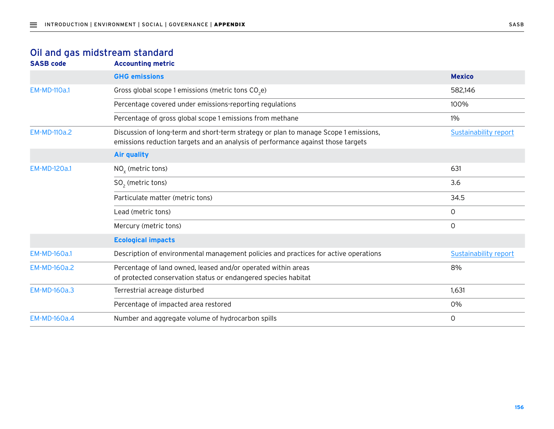### Oil and gas midstream standard

| <b>Accounting metric</b>                                                                                                                                                 |                              |
|--------------------------------------------------------------------------------------------------------------------------------------------------------------------------|------------------------------|
| <b>GHG emissions</b>                                                                                                                                                     | <b>Mexico</b>                |
| Gross global scope 1 emissions (metric tons CO <sub>2</sub> e)                                                                                                           | 582,146                      |
| Percentage covered under emissions-reporting regulations                                                                                                                 | 100%                         |
| Percentage of gross global scope 1 emissions from methane                                                                                                                | 1%                           |
| Discussion of long-term and short-term strategy or plan to manage Scope 1 emissions,<br>emissions reduction targets and an analysis of performance against those targets | <b>Sustainability report</b> |
| <b>Air quality</b>                                                                                                                                                       |                              |
| $NOx$ (metric tons)                                                                                                                                                      | 631                          |
| $SO2$ (metric tons)                                                                                                                                                      | 3.6                          |
| Particulate matter (metric tons)                                                                                                                                         | 34.5                         |
| Lead (metric tons)                                                                                                                                                       | 0                            |
| Mercury (metric tons)                                                                                                                                                    | 0                            |
| <b>Ecological impacts</b>                                                                                                                                                |                              |
| Description of environmental management policies and practices for active operations                                                                                     | <b>Sustainability report</b> |
| Percentage of land owned, leased and/or operated within areas<br>of protected conservation status or endangered species habitat                                          | 8%                           |
| Terrestrial acreage disturbed                                                                                                                                            | 1,631                        |
| Percentage of impacted area restored                                                                                                                                     | 0%                           |
| Number and aggregate volume of hydrocarbon spills                                                                                                                        | $\circ$                      |
|                                                                                                                                                                          |                              |